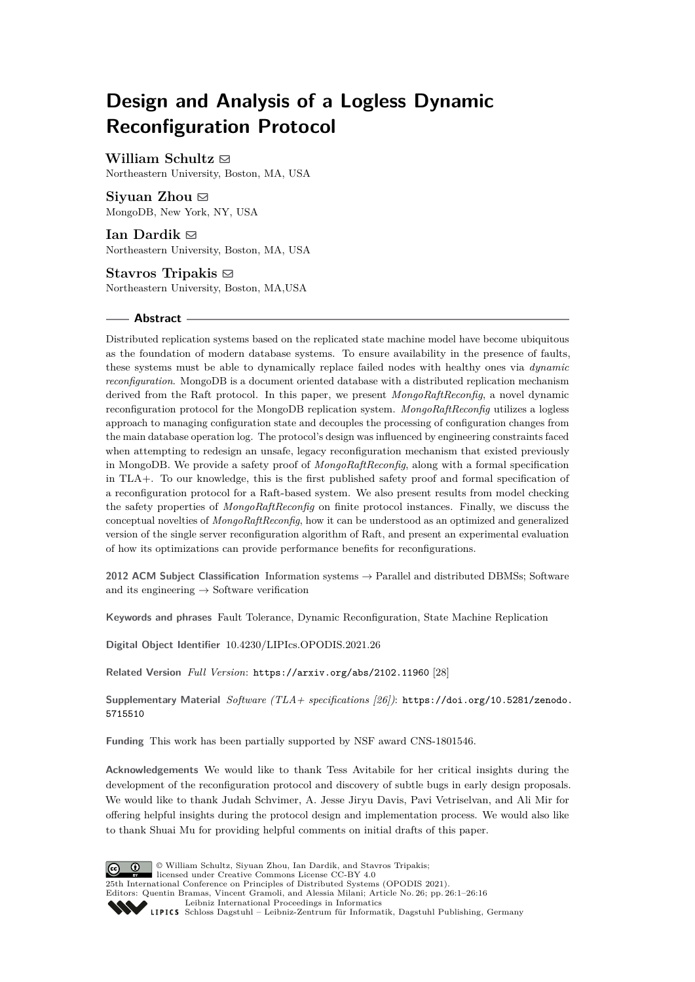# **Design and Analysis of a Logless Dynamic Reconfiguration Protocol**

**William Schultz** ⊠

Northeastern University, Boston, MA, USA

**Sivuan Zhou**  $\boxtimes$ MongoDB, New York, NY, USA

**Ian Dardik** ⊠ Northeastern University, Boston, MA, USA

Stavros Tripakis  $\boxdot$ Northeastern University, Boston, MA,USA

## **Abstract**

Distributed replication systems based on the replicated state machine model have become ubiquitous as the foundation of modern database systems. To ensure availability in the presence of faults, these systems must be able to dynamically replace failed nodes with healthy ones via *dynamic reconfiguration*. MongoDB is a document oriented database with a distributed replication mechanism derived from the Raft protocol. In this paper, we present *MongoRaftReconfig*, a novel dynamic reconfiguration protocol for the MongoDB replication system. *MongoRaftReconfig* utilizes a logless approach to managing configuration state and decouples the processing of configuration changes from the main database operation log. The protocol's design was influenced by engineering constraints faced when attempting to redesign an unsafe, legacy reconfiguration mechanism that existed previously in MongoDB. We provide a safety proof of *MongoRaftReconfig*, along with a formal specification in TLA+. To our knowledge, this is the first published safety proof and formal specification of a reconfiguration protocol for a Raft-based system. We also present results from model checking the safety properties of *MongoRaftReconfig* on finite protocol instances. Finally, we discuss the conceptual novelties of *MongoRaftReconfig*, how it can be understood as an optimized and generalized version of the single server reconfiguration algorithm of Raft, and present an experimental evaluation of how its optimizations can provide performance benefits for reconfigurations.

**2012 ACM Subject Classification** Information systems → Parallel and distributed DBMSs; Software and its engineering  $\rightarrow$  Software verification

**Keywords and phrases** Fault Tolerance, Dynamic Reconfiguration, State Machine Replication

**Digital Object Identifier** [10.4230/LIPIcs.OPODIS.2021.26](https://doi.org/10.4230/LIPIcs.OPODIS.2021.26)

**Related Version** *Full Version*: <https://arxiv.org/abs/2102.11960> [\[28\]](#page-15-0)

**Supplementary Material** *Software (TLA+ specifications [\[26\]](#page-15-1))*: [https://doi.org/10.5281/zenodo.](https://doi.org/10.5281/zenodo.5715510) [5715510](https://doi.org/10.5281/zenodo.5715510)

**Funding** This work has been partially supported by NSF award CNS-1801546.

**Acknowledgements** We would like to thank Tess Avitabile for her critical insights during the development of the reconfiguration protocol and discovery of subtle bugs in early design proposals. We would like to thank Judah Schvimer, A. Jesse Jiryu Davis, Pavi Vetriselvan, and Ali Mir for offering helpful insights during the protocol design and implementation process. We would also like to thank Shuai Mu for providing helpful comments on initial drafts of this paper.



© William Schultz, Siyuan Zhou, Ian Dardik, and Stavros Tripakis; licensed under Creative Commons License CC-BY 4.0

25th International Conference on Principles of Distributed Systems (OPODIS 2021). Editors: Quentin Bramas, Vincent Gramoli, and Alessia Milani; Article No. 26; pp. 26:1–26:16 [Leibniz International Proceedings in Informatics](https://www.dagstuhl.de/lipics/)

[Schloss Dagstuhl – Leibniz-Zentrum für Informatik, Dagstuhl Publishing, Germany](https://www.dagstuhl.de)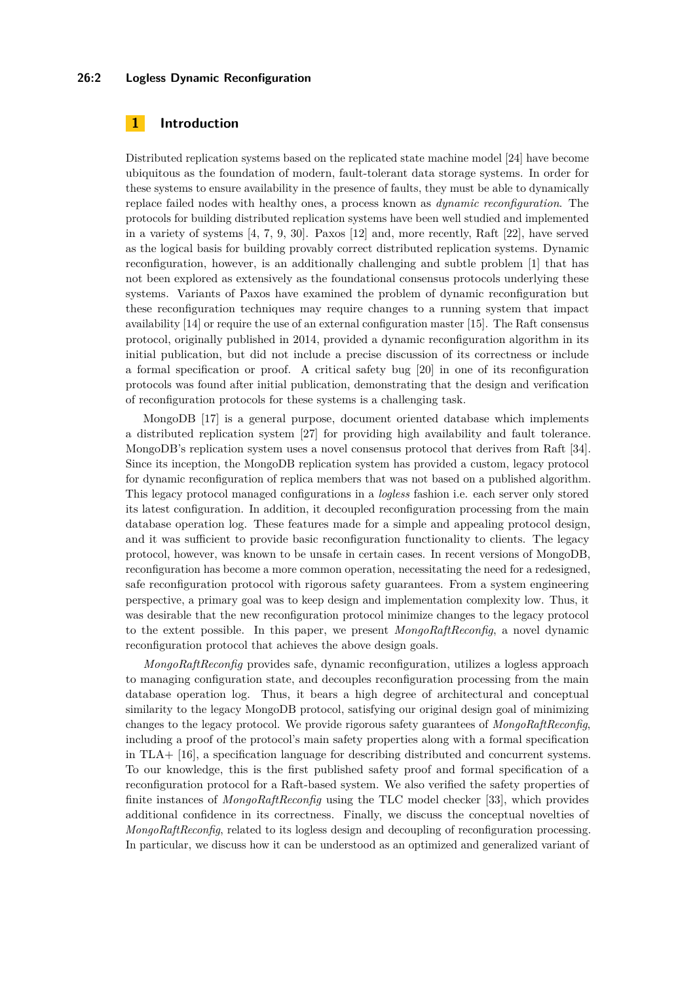#### **26:2 Logless Dynamic Reconfiguration**

# **1 Introduction**

Distributed replication systems based on the replicated state machine model [\[24\]](#page-15-2) have become ubiquitous as the foundation of modern, fault-tolerant data storage systems. In order for these systems to ensure availability in the presence of faults, they must be able to dynamically replace failed nodes with healthy ones, a process known as *dynamic reconfiguration*. The protocols for building distributed replication systems have been well studied and implemented in a variety of systems [\[4,](#page-14-0) [7,](#page-14-1) [9,](#page-14-2) [30\]](#page-15-3). Paxos [\[12\]](#page-14-3) and, more recently, Raft [\[22\]](#page-15-4), have served as the logical basis for building provably correct distributed replication systems. Dynamic reconfiguration, however, is an additionally challenging and subtle problem [\[1\]](#page-14-4) that has not been explored as extensively as the foundational consensus protocols underlying these systems. Variants of Paxos have examined the problem of dynamic reconfiguration but these reconfiguration techniques may require changes to a running system that impact availability [\[14\]](#page-14-5) or require the use of an external configuration master [\[15\]](#page-14-6). The Raft consensus protocol, originally published in 2014, provided a dynamic reconfiguration algorithm in its initial publication, but did not include a precise discussion of its correctness or include a formal specification or proof. A critical safety bug [\[20\]](#page-15-5) in one of its reconfiguration protocols was found after initial publication, demonstrating that the design and verification of reconfiguration protocols for these systems is a challenging task.

MongoDB [\[17\]](#page-15-6) is a general purpose, document oriented database which implements a distributed replication system [\[27\]](#page-15-7) for providing high availability and fault tolerance. MongoDB's replication system uses a novel consensus protocol that derives from Raft [\[34\]](#page-15-8). Since its inception, the MongoDB replication system has provided a custom, legacy protocol for dynamic reconfiguration of replica members that was not based on a published algorithm. This legacy protocol managed configurations in a *logless* fashion i.e. each server only stored its latest configuration. In addition, it decoupled reconfiguration processing from the main database operation log. These features made for a simple and appealing protocol design, and it was sufficient to provide basic reconfiguration functionality to clients. The legacy protocol, however, was known to be unsafe in certain cases. In recent versions of MongoDB, reconfiguration has become a more common operation, necessitating the need for a redesigned, safe reconfiguration protocol with rigorous safety guarantees. From a system engineering perspective, a primary goal was to keep design and implementation complexity low. Thus, it was desirable that the new reconfiguration protocol minimize changes to the legacy protocol to the extent possible. In this paper, we present *MongoRaftReconfig*, a novel dynamic reconfiguration protocol that achieves the above design goals.

*MongoRaftReconfig* provides safe, dynamic reconfiguration, utilizes a logless approach to managing configuration state, and decouples reconfiguration processing from the main database operation log. Thus, it bears a high degree of architectural and conceptual similarity to the legacy MongoDB protocol, satisfying our original design goal of minimizing changes to the legacy protocol. We provide rigorous safety guarantees of *MongoRaftReconfig*, including a proof of the protocol's main safety properties along with a formal specification in TLA+ [\[16\]](#page-15-9), a specification language for describing distributed and concurrent systems. To our knowledge, this is the first published safety proof and formal specification of a reconfiguration protocol for a Raft-based system. We also verified the safety properties of finite instances of *MongoRaftReconfig* using the TLC model checker [\[33\]](#page-15-10), which provides additional confidence in its correctness. Finally, we discuss the conceptual novelties of *MongoRaftReconfig*, related to its logless design and decoupling of reconfiguration processing. In particular, we discuss how it can be understood as an optimized and generalized variant of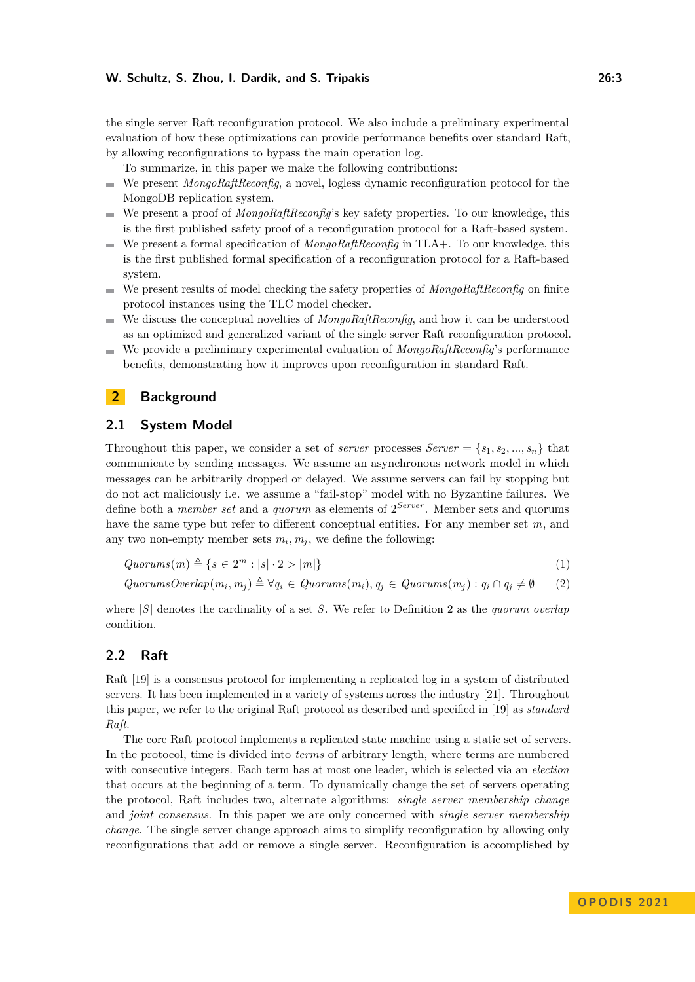#### **W. Schultz, S. Zhou, I. Dardik, and S. Tripakis 26:3**

the single server Raft reconfiguration protocol. We also include a preliminary experimental evaluation of how these optimizations can provide performance benefits over standard Raft, by allowing reconfigurations to bypass the main operation log.

To summarize, in this paper we make the following contributions:

- We present *MongoRaftReconfig*, a novel, logless dynamic reconfiguration protocol for the  $\mathbf{r}$ MongoDB replication system.
- We present a proof of *MongoRaftReconfig*'s key safety properties. To our knowledge, this is the first published safety proof of a reconfiguration protocol for a Raft-based system.
- We present a formal specification of *MongoRaftReconfig* in TLA+. To our knowledge, this is the first published formal specification of a reconfiguration protocol for a Raft-based system.
- We present results of model checking the safety properties of *MongoRaftReconfig* on finite m. protocol instances using the TLC model checker.
- We discuss the conceptual novelties of *MongoRaftReconfig*, and how it can be understood  $\sim$ as an optimized and generalized variant of the single server Raft reconfiguration protocol.
- We provide a preliminary experimental evaluation of *MongoRaftReconfig*'s performance benefits, demonstrating how it improves upon reconfiguration in standard Raft.

# **2 Background**

## **2.1 System Model**

Throughout this paper, we consider a set of *server* processes  $Server = \{s_1, s_2, ..., s_n\}$  that communicate by sending messages. We assume an asynchronous network model in which messages can be arbitrarily dropped or delayed. We assume servers can fail by stopping but do not act maliciously i.e. we assume a "fail-stop" model with no Byzantine failures. We define both a *member set* and a *quorum* as elements of  $2^{Server}$ . Member sets and quorums have the same type but refer to different conceptual entities. For any member set  $m$ , and any two non-empty member sets  $m_i, m_j$ , we define the following:

$$
Quorums(m) \triangleq \{ s \in 2^m : |s| \cdot 2 > |m| \}
$$
\n
$$
(1)
$$

<span id="page-2-0"></span>
$$
QuorumsOverlap(m_i, m_j) \triangleq \forall q_i \in Quorums(m_i), q_j \in Quorums(m_j) : q_i \cap q_j \neq \emptyset
$$
 (2)

where |S| denotes the cardinality of a set S. We refer to Definition [2](#page-2-0) as the *quorum overlap* condition.

# **2.2 Raft**

Raft [\[19\]](#page-15-11) is a consensus protocol for implementing a replicated log in a system of distributed servers. It has been implemented in a variety of systems across the industry [\[21\]](#page-15-12). Throughout this paper, we refer to the original Raft protocol as described and specified in [\[19\]](#page-15-11) as *standard Raft*.

The core Raft protocol implements a replicated state machine using a static set of servers. In the protocol, time is divided into *terms* of arbitrary length, where terms are numbered with consecutive integers. Each term has at most one leader, which is selected via an *election* that occurs at the beginning of a term. To dynamically change the set of servers operating the protocol, Raft includes two, alternate algorithms: *single server membership change* and *joint consensus*. In this paper we are only concerned with *single server membership change*. The single server change approach aims to simplify reconfiguration by allowing only reconfigurations that add or remove a single server. Reconfiguration is accomplished by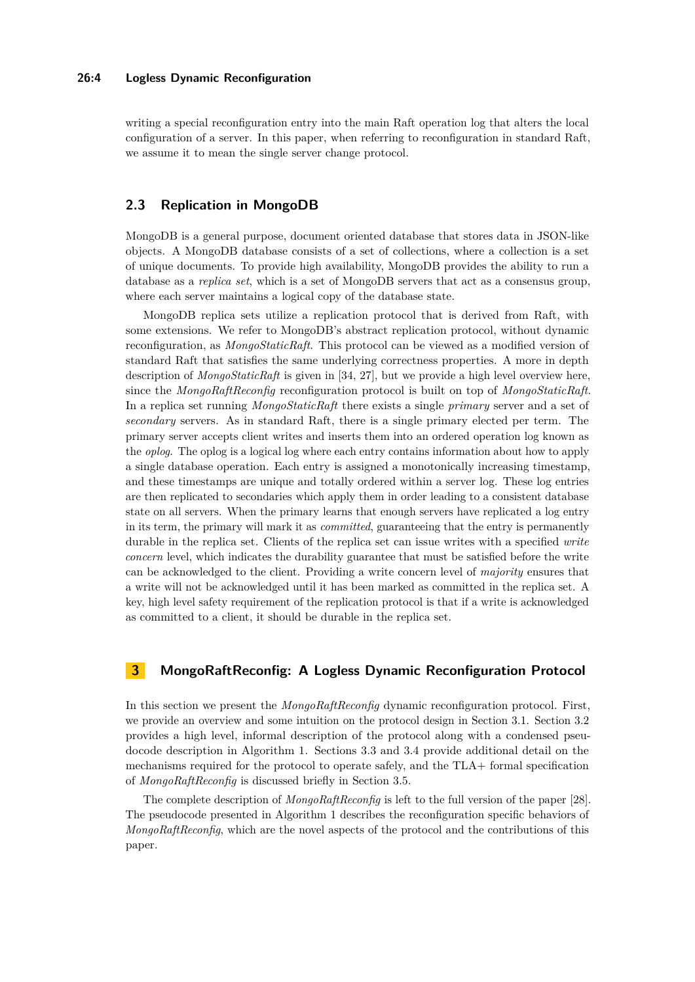#### **26:4 Logless Dynamic Reconfiguration**

writing a special reconfiguration entry into the main Raft operation log that alters the local configuration of a server. In this paper, when referring to reconfiguration in standard Raft, we assume it to mean the single server change protocol.

# **2.3 Replication in MongoDB**

MongoDB is a general purpose, document oriented database that stores data in JSON-like objects. A MongoDB database consists of a set of collections, where a collection is a set of unique documents. To provide high availability, MongoDB provides the ability to run a database as a *replica set*, which is a set of MongoDB servers that act as a consensus group, where each server maintains a logical copy of the database state.

MongoDB replica sets utilize a replication protocol that is derived from Raft, with some extensions. We refer to MongoDB's abstract replication protocol, without dynamic reconfiguration, as *MongoStaticRaft*. This protocol can be viewed as a modified version of standard Raft that satisfies the same underlying correctness properties. A more in depth description of *MongoStaticRaft* is given in [\[34,](#page-15-8) [27\]](#page-15-7), but we provide a high level overview here, since the *MongoRaftReconfig* reconfiguration protocol is built on top of *MongoStaticRaft*. In a replica set running *MongoStaticRaft* there exists a single *primary* server and a set of *secondary* servers. As in standard Raft, there is a single primary elected per term. The primary server accepts client writes and inserts them into an ordered operation log known as the *oplog*. The oplog is a logical log where each entry contains information about how to apply a single database operation. Each entry is assigned a monotonically increasing timestamp, and these timestamps are unique and totally ordered within a server log. These log entries are then replicated to secondaries which apply them in order leading to a consistent database state on all servers. When the primary learns that enough servers have replicated a log entry in its term, the primary will mark it as *committed*, guaranteeing that the entry is permanently durable in the replica set. Clients of the replica set can issue writes with a specified *write concern* level, which indicates the durability guarantee that must be satisfied before the write can be acknowledged to the client. Providing a write concern level of *majority* ensures that a write will not be acknowledged until it has been marked as committed in the replica set. A key, high level safety requirement of the replication protocol is that if a write is acknowledged as committed to a client, it should be durable in the replica set.

# **3 MongoRaftReconfig: A Logless Dynamic Reconfiguration Protocol**

In this section we present the *MongoRaftReconfig* dynamic reconfiguration protocol. First, we provide an overview and some intuition on the protocol design in Section [3.1.](#page-4-0) Section [3.2](#page-4-1) provides a high level, informal description of the protocol along with a condensed pseudocode description in Algorithm [1.](#page-5-0) Sections [3.3](#page-5-1) and [3.4](#page-6-0) provide additional detail on the mechanisms required for the protocol to operate safely, and the TLA+ formal specification of *MongoRaftReconfig* is discussed briefly in Section [3.5.](#page-6-1)

The complete description of *MongoRaftReconfig* is left to the full version of the paper [\[28\]](#page-15-0). The pseudocode presented in Algorithm [1](#page-5-0) describes the reconfiguration specific behaviors of *MongoRaftReconfig*, which are the novel aspects of the protocol and the contributions of this paper.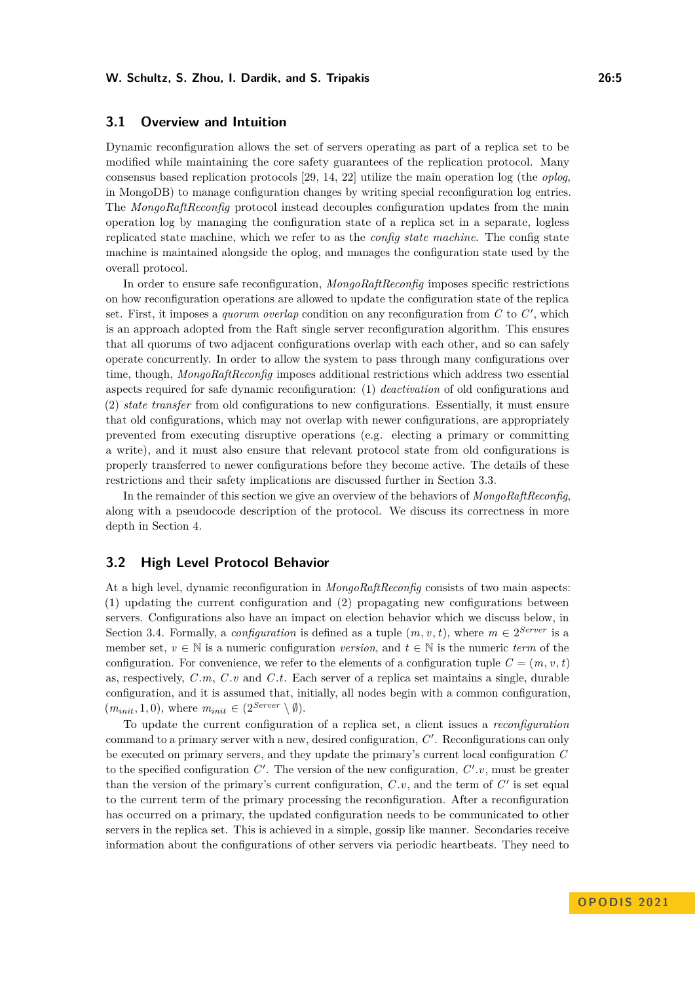# <span id="page-4-0"></span>**3.1 Overview and Intuition**

Dynamic reconfiguration allows the set of servers operating as part of a replica set to be modified while maintaining the core safety guarantees of the replication protocol. Many consensus based replication protocols [\[29,](#page-15-13) [14,](#page-14-5) [22\]](#page-15-4) utilize the main operation log (the *oplog*, in MongoDB) to manage configuration changes by writing special reconfiguration log entries. The *MongoRaftReconfig* protocol instead decouples configuration updates from the main operation log by managing the configuration state of a replica set in a separate, logless replicated state machine, which we refer to as the *config state machine*. The config state machine is maintained alongside the oplog, and manages the configuration state used by the overall protocol.

In order to ensure safe reconfiguration, *MongoRaftReconfig* imposes specific restrictions on how reconfiguration operations are allowed to update the configuration state of the replica set. First, it imposes a *quorum overlap* condition on any reconfiguration from  $C$  to  $C'$ , which is an approach adopted from the Raft single server reconfiguration algorithm. This ensures that all quorums of two adjacent configurations overlap with each other, and so can safely operate concurrently. In order to allow the system to pass through many configurations over time, though, *MongoRaftReconfig* imposes additional restrictions which address two essential aspects required for safe dynamic reconfiguration: (1) *deactivation* of old configurations and (2) *state transfer* from old configurations to new configurations. Essentially, it must ensure that old configurations, which may not overlap with newer configurations, are appropriately prevented from executing disruptive operations (e.g. electing a primary or committing a write), and it must also ensure that relevant protocol state from old configurations is properly transferred to newer configurations before they become active. The details of these restrictions and their safety implications are discussed further in Section [3.3.](#page-5-1)

In the remainder of this section we give an overview of the behaviors of *MongoRaftReconfig*, along with a pseudocode description of the protocol. We discuss its correctness in more depth in Section [4.](#page-7-0)

## <span id="page-4-1"></span>**3.2 High Level Protocol Behavior**

At a high level, dynamic reconfiguration in *MongoRaftReconfig* consists of two main aspects: (1) updating the current configuration and (2) propagating new configurations between servers. Configurations also have an impact on election behavior which we discuss below, in Section [3.4.](#page-6-0) Formally, a *configuration* is defined as a tuple  $(m, v, t)$ , where  $m \in 2^{Server}$  is a member set,  $v \in \mathbb{N}$  is a numeric configuration *version*, and  $t \in \mathbb{N}$  is the numeric *term* of the configuration. For convenience, we refer to the elements of a configuration tuple  $C = (m, v, t)$ as, respectively, C *.*m, C *.*v and C *.*t. Each server of a replica set maintains a single, durable configuration, and it is assumed that, initially, all nodes begin with a common configuration,  $(m_{init}, 1, 0)$ , where  $m_{init} \in (2^{Server} \setminus \emptyset)$ .

To update the current configuration of a replica set, a client issues a *reconfiguration* command to a primary server with a new, desired configuration,  $C'$ . Reconfigurations can only be executed on primary servers, and they update the primary's current local configuration C to the specified configuration  $C'$ . The version of the new configuration,  $C'$ .  $v$ , must be greater than the version of the primary's current configuration,  $C.v$ , and the term of  $C'$  is set equal to the current term of the primary processing the reconfiguration. After a reconfiguration has occurred on a primary, the updated configuration needs to be communicated to other servers in the replica set. This is achieved in a simple, gossip like manner. Secondaries receive information about the configurations of other servers via periodic heartbeats. They need to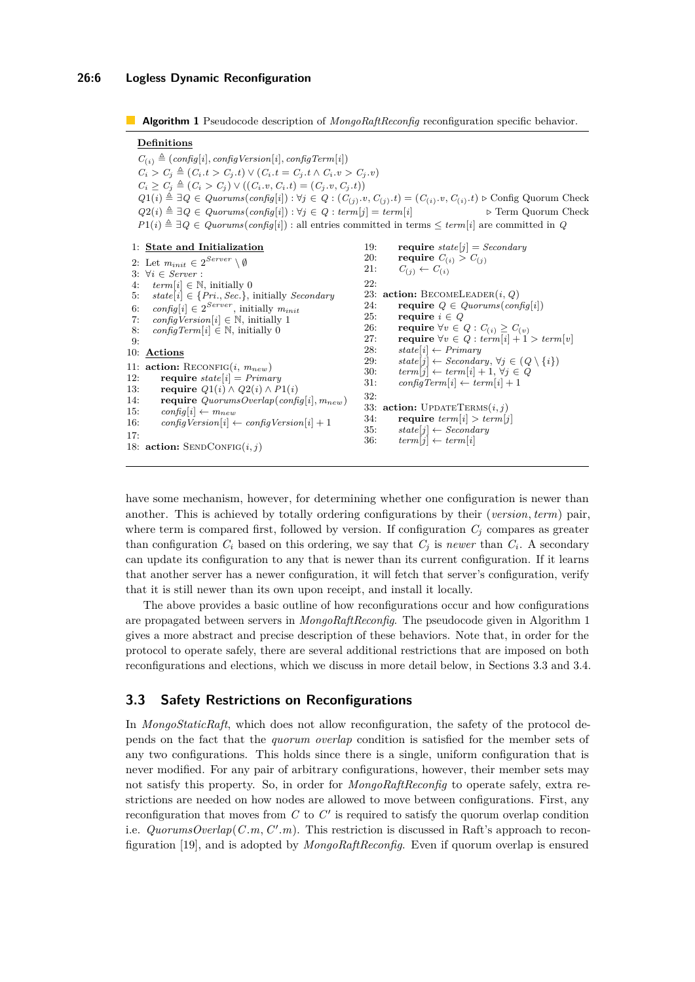### **26:6 Logless Dynamic Reconfiguration**

```
Algorithm 1 Pseudocode description of MongoRaftReconfig reconfiguration specific behavior.
```
#### **Definitions**

 $C_{(i)} \triangleq (config[i], configVersion[i], configTerm[i])$  $C_i > C_j \triangleq (C_i.t > C_j.t) ∨ (C_i.t = C_j.t ∧ C_i.v > C_j.v)$  $C_i \geq C_j \triangleq (C_i > C_j) \vee ((C_i \cdot v, C_i \cdot t) = (C_j \cdot v, C_j \cdot t))$  $Q1(i) \triangleq \exists Q \in \text{Quorums}(\text{config}[i]) : \forall j \in Q : (C_{(j)} \cdot v, C_{(j)} \cdot t) = (C_{(i)} \cdot v, C_{(i)} \cdot t) \triangleright \text{Config Quorum Check}$  $Q2(i) \triangleq \exists Q \in Quorums(config[i]) : \forall i \in Q : term[i] = term[i]$  *>* Term Quorum Check  $P1(i) \triangleq \exists Q \in Quorums(config[i])$ : all entries committed in terms  $\leq term[i]$  are committed in Q 1: **State and Initialization** 2: Let  $m_{init} \in 2^{Server} \setminus \emptyset$ 3:  $\forall i \in Server$ <br>4:  $term[i] \in \mathbb{N}$  $term[i] \in \mathbb{N}$ , initially 0 5:  $state[i] \in \{Pri., Sec.\},$  initially *Secondary* 6: config<sup>[i]</sup>  $\in 2^{Server}$ , initially  $m_{init}$ 7: config Version  $[i] \in \mathbb{N}$ , initially 1 8: configTerm[i]  $\in \mathbb{N}$ , initially 0  $Q<sub>1</sub>$ 10: **Actions** 11:  $action: RECONFIG(i, m_{new})$ 12: **require**  $state[i] = Primary$ 13: **require**  $Q1(i) \wedge Q2(i) \wedge P1(i)$ 14: **require**  $QuorumsOverlap(config[i], m_{new})$ 15:  $config[i] \leftarrow m_{new}$ <br>16:  $configVersion[i] \leftarrow$  $\text{configVersion}[i] \leftarrow \text{configVersion}[i] + 1$ 17: 18: **action:** SENDCONFIG $(i, j)$ 19: **require**  $state[j] = Secondary$ 20: **require**  $C_{(i)} > C_{(j)}$ <br>21:  $C_{(i)} \leftarrow C_{(i)}$  $C_{(i)} \leftarrow C_{(i)}$ 22: 23: **action:** BECOMELEADER $(i, Q)$ <br>24: **require**  $Q \in \text{Quarums}(con$ **require**  $Q \in \mathit{Quorums}(\mathit{config}[i])$ 25: **require**  $i \in Q$ <br>26: **require**  $\forall v \in Q$ 26: **require**  $\forall v \in Q : C_{(i)} \geq C_{(v)}$ 27: **require**  $\forall v \in Q : \text{term}[i] + 1 > \text{term}[v]$ 28:  $state[i] \leftarrow Primary$ <br>29:  $state[i] \leftarrow Secondar$  $state[j] \leftarrow Secondary, \forall j \in (Q \setminus \{i\})$ 30:  $term[j] \leftarrow term[i] + 1, \forall j \in Q$ 31:  $\text{configTerm}[i] \leftarrow \text{term}[i] + 1$ 32: 33: **action:** UPDATETERMS $(i, j)$ <br>34: **require** term[i] > term]  ${\bf require}~ term[i] > term[i]$ 35:  $state[j] \leftarrow Secondary$ 36:  $term[j] \leftarrow term[i]$ 

have some mechanism, however, for determining whether one configuration is newer than another. This is achieved by totally ordering configurations by their (version*,* term) pair, where term is compared first, followed by version. If configuration  $C_i$  compares as greater than configuration  $C_i$  based on this ordering, we say that  $C_j$  is *newer* than  $C_i$ . A secondary can update its configuration to any that is newer than its current configuration. If it learns that another server has a newer configuration, it will fetch that server's configuration, verify that it is still newer than its own upon receipt, and install it locally.

The above provides a basic outline of how reconfigurations occur and how configurations are propagated between servers in *MongoRaftReconfig*. The pseudocode given in Algorithm [1](#page-5-0) gives a more abstract and precise description of these behaviors. Note that, in order for the protocol to operate safely, there are several additional restrictions that are imposed on both reconfigurations and elections, which we discuss in more detail below, in Sections [3.3](#page-5-1) and [3.4.](#page-6-0)

# <span id="page-5-1"></span>**3.3 Safety Restrictions on Reconfigurations**

In *MongoStaticRaft*, which does not allow reconfiguration, the safety of the protocol depends on the fact that the *quorum overlap* condition is satisfied for the member sets of any two configurations. This holds since there is a single, uniform configuration that is never modified. For any pair of arbitrary configurations, however, their member sets may not satisfy this property. So, in order for *MongoRaftReconfig* to operate safely, extra restrictions are needed on how nodes are allowed to move between configurations. First, any reconfiguration that moves from  $C$  to  $C'$  is required to satisfy the quorum overlap condition i.e. *QuorumsOverlap*( $C.m, C'm$ ). This restriction is discussed in Raft's approach to reconfiguration [\[19\]](#page-15-11), and is adopted by *MongoRaftReconfig*. Even if quorum overlap is ensured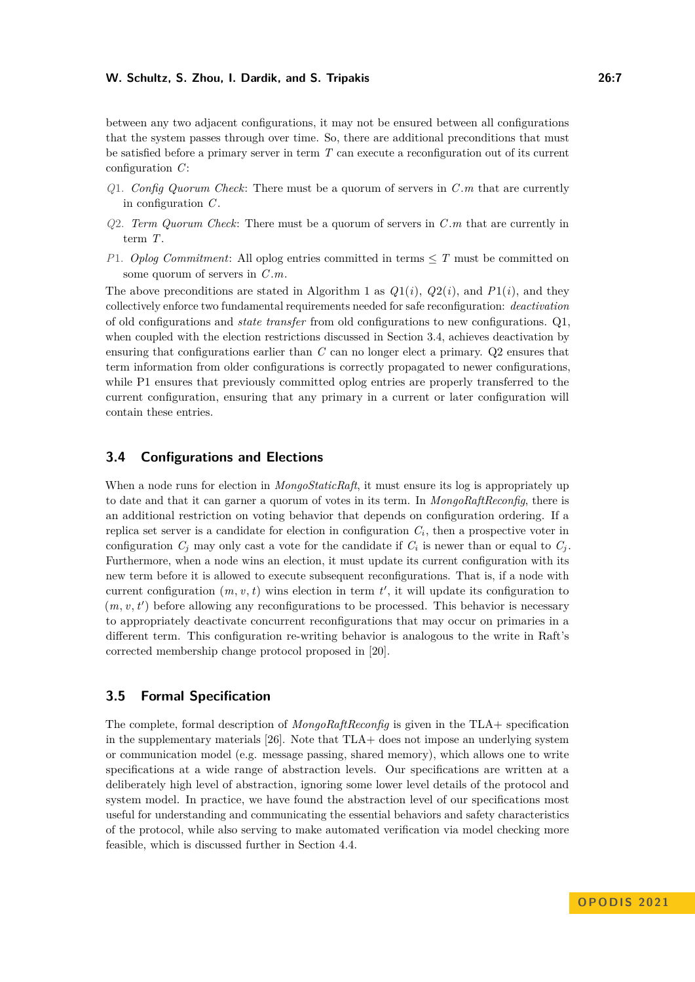#### **W. Schultz, S. Zhou, I. Dardik, and S. Tripakis 26:7**

between any two adjacent configurations, it may not be ensured between all configurations that the system passes through over time. So, there are additional preconditions that must be satisfied before a primary server in term  $T$  can execute a reconfiguration out of its current configuration  $C$ :

- *Q*1. *Config Quorum Check*: There must be a quorum of servers in C *.*m that are currently in configuration  $C$ .
- *Q*2. *Term Quorum Check*: There must be a quorum of servers in C *m* that are currently in term T.
- *P*1. *Oplog Commitment*: All oplog entries committed in terms ≤ T must be committed on some quorum of servers in C *.*m.

The above preconditions are stated in Algorithm [1](#page-5-0) as  $Q_1(i)$ ,  $Q_2(i)$ , and  $P_1(i)$ , and they collectively enforce two fundamental requirements needed for safe reconfiguration: *deactivation* of old configurations and *state transfer* from old configurations to new configurations. Q1, when coupled with the election restrictions discussed in Section [3.4,](#page-6-0) achieves deactivation by ensuring that configurations earlier than C can no longer elect a primary. Q2 ensures that term information from older configurations is correctly propagated to newer configurations, while P1 ensures that previously committed oplog entries are properly transferred to the current configuration, ensuring that any primary in a current or later configuration will contain these entries.

## <span id="page-6-0"></span>**3.4 Configurations and Elections**

When a node runs for election in *MongoStaticRaft*, it must ensure its log is appropriately up to date and that it can garner a quorum of votes in its term. In *MongoRaftReconfig*, there is an additional restriction on voting behavior that depends on configuration ordering. If a replica set server is a candidate for election in configuration  $C_i$ , then a prospective voter in configuration  $C_j$  may only cast a vote for the candidate if  $C_i$  is newer than or equal to  $C_j$ . Furthermore, when a node wins an election, it must update its current configuration with its new term before it is allowed to execute subsequent reconfigurations. That is, if a node with current configuration  $(m, v, t)$  wins election in term  $t'$ , it will update its configuration to  $(m, v, t')$  before allowing any reconfigurations to be processed. This behavior is necessary to appropriately deactivate concurrent reconfigurations that may occur on primaries in a different term. This configuration re-writing behavior is analogous to the write in Raft's corrected membership change protocol proposed in [\[20\]](#page-15-5).

# <span id="page-6-1"></span>**3.5 Formal Specification**

The complete, formal description of *MongoRaftReconfig* is given in the TLA+ specification in the supplementary materials [\[26\]](#page-15-1). Note that TLA+ does not impose an underlying system or communication model (e.g. message passing, shared memory), which allows one to write specifications at a wide range of abstraction levels. Our specifications are written at a deliberately high level of abstraction, ignoring some lower level details of the protocol and system model. In practice, we have found the abstraction level of our specifications most useful for understanding and communicating the essential behaviors and safety characteristics of the protocol, while also serving to make automated verification via model checking more feasible, which is discussed further in Section [4.4.](#page-8-0)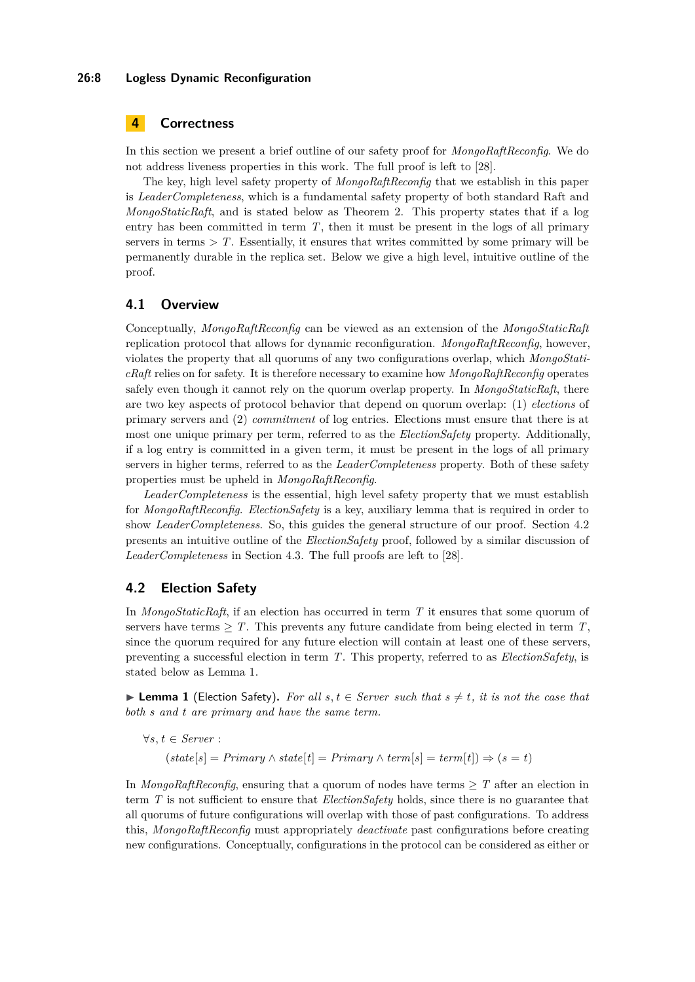#### **26:8 Logless Dynamic Reconfiguration**

# <span id="page-7-0"></span>**4 Correctness**

In this section we present a brief outline of our safety proof for *MongoRaftReconfig*. We do not address liveness properties in this work. The full proof is left to [\[28\]](#page-15-0).

The key, high level safety property of *MongoRaftReconfig* that we establish in this paper is *LeaderCompleteness*, which is a fundamental safety property of both standard Raft and *MongoStaticRaft*, and is stated below as Theorem [2.](#page-8-1) This property states that if a log entry has been committed in term  $T$ , then it must be present in the logs of all primary servers in terms  $\geq T$ . Essentially, it ensures that writes committed by some primary will be permanently durable in the replica set. Below we give a high level, intuitive outline of the proof.

## **4.1 Overview**

Conceptually, *MongoRaftReconfig* can be viewed as an extension of the *MongoStaticRaft* replication protocol that allows for dynamic reconfiguration. *MongoRaftReconfig*, however, violates the property that all quorums of any two configurations overlap, which *MongoStaticRaft* relies on for safety. It is therefore necessary to examine how *MongoRaftReconfig* operates safely even though it cannot rely on the quorum overlap property. In *MongoStaticRaft*, there are two key aspects of protocol behavior that depend on quorum overlap: (1) *elections* of primary servers and (2) *commitment* of log entries. Elections must ensure that there is at most one unique primary per term, referred to as the *ElectionSafety* property. Additionally, if a log entry is committed in a given term, it must be present in the logs of all primary servers in higher terms, referred to as the *LeaderCompleteness* property. Both of these safety properties must be upheld in *MongoRaftReconfig*.

*LeaderCompleteness* is the essential, high level safety property that we must establish for *MongoRaftReconfig*. *ElectionSafety* is a key, auxiliary lemma that is required in order to show *LeaderCompleteness*. So, this guides the general structure of our proof. Section [4.2](#page-7-1) presents an intuitive outline of the *ElectionSafety* proof, followed by a similar discussion of *LeaderCompleteness* in Section [4.3.](#page-8-2) The full proofs are left to [\[28\]](#page-15-0).

# <span id="page-7-1"></span>**4.2 Election Safety**

In *MongoStaticRaft*, if an election has occurred in term T it ensures that some quorum of servers have terms  $\geq T$ . This prevents any future candidate from being elected in term T, since the quorum required for any future election will contain at least one of these servers, preventing a successful election in term T. This property, referred to as *ElectionSafety*, is stated below as Lemma [1.](#page-7-2)

<span id="page-7-2"></span>▶ **Lemma 1** (Election Safety). For all s,  $t \in Server$  such that  $s \neq t$ , it is not the case that *both* s *and* t *are primary and have the same term.*

$$
\forall s, t \in Server:
$$
  

$$
(state[s] = Primary \land state[t] = Primary \land term[s] = term[t]) \Rightarrow (s = t)
$$

In *MongoRaftReconfig*, ensuring that a quorum of nodes have terms  $\geq T$  after an election in term T is not sufficient to ensure that *ElectionSafety* holds, since there is no guarantee that all quorums of future configurations will overlap with those of past configurations. To address this, *MongoRaftReconfig* must appropriately *deactivate* past configurations before creating new configurations. Conceptually, configurations in the protocol can be considered as either or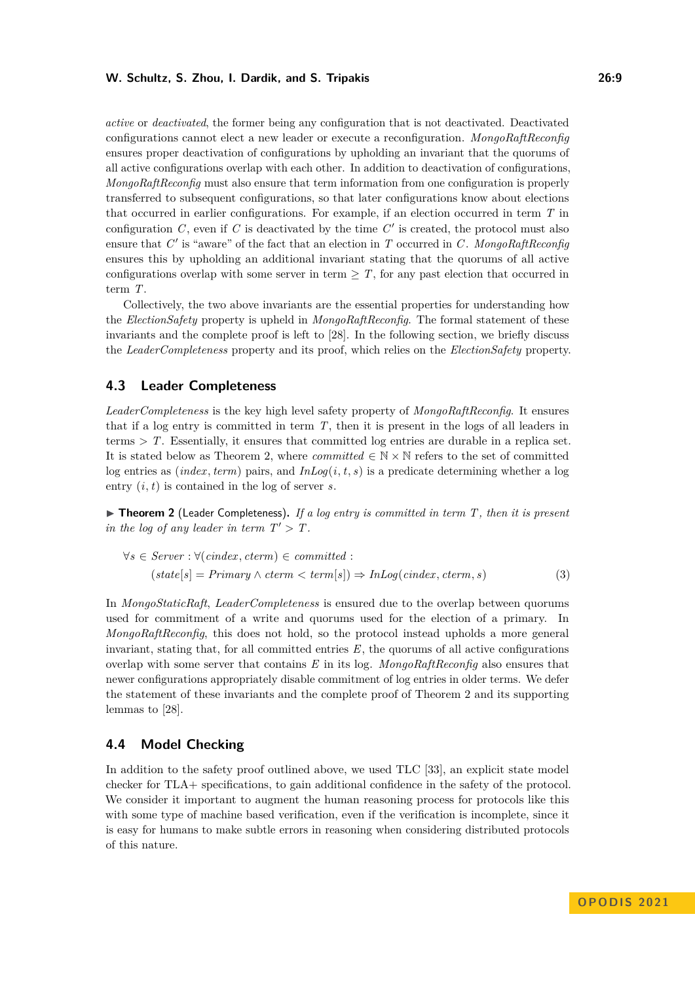#### **W. Schultz, S. Zhou, I. Dardik, and S. Tripakis 26:9**

*active* or *deactivated*, the former being any configuration that is not deactivated. Deactivated configurations cannot elect a new leader or execute a reconfiguration. *MongoRaftReconfig* ensures proper deactivation of configurations by upholding an invariant that the quorums of all active configurations overlap with each other. In addition to deactivation of configurations, *MongoRaftReconfig* must also ensure that term information from one configuration is properly transferred to subsequent configurations, so that later configurations know about elections that occurred in earlier configurations. For example, if an election occurred in term T in configuration  $C$ , even if  $C$  is deactivated by the time  $C'$  is created, the protocol must also ensure that C' is "aware" of the fact that an election in T occurred in C. MongoRaftReconfig ensures this by upholding an additional invariant stating that the quorums of all active configurations overlap with some server in term  $\geq T$ , for any past election that occurred in term T.

Collectively, the two above invariants are the essential properties for understanding how the *ElectionSafety* property is upheld in *MongoRaftReconfig*. The formal statement of these invariants and the complete proof is left to [\[28\]](#page-15-0). In the following section, we briefly discuss the *LeaderCompleteness* property and its proof, which relies on the *ElectionSafety* property.

## <span id="page-8-2"></span>**4.3 Leader Completeness**

*LeaderCompleteness* is the key high level safety property of *MongoRaftReconfig*. It ensures that if a log entry is committed in term T, then it is present in the logs of all leaders in terms *>* T. Essentially, it ensures that committed log entries are durable in a replica set. It is stated below as Theorem [2,](#page-8-1) where *committed*  $\in \mathbb{N} \times \mathbb{N}$  refers to the set of committed log entries as *(index, term)* pairs, and  $InLog(i, t, s)$  is a predicate determining whether a log entry  $(i, t)$  is contained in the log of server s.

<span id="page-8-1"></span>▶ **Theorem 2** (Leader Completeness). If a log entry is committed in term T, then it is present *in the log of any leader in term*  $T' > T$ .

$$
\forall s \in Server : \forall (cindex, cterm) \in committed : (state[s] = Primary \land cterm < term[s]) \Rightarrow InLog(cindex, cterm, s)
$$
\n
$$
(3)
$$

In *MongoStaticRaft*, *LeaderCompleteness* is ensured due to the overlap between quorums used for commitment of a write and quorums used for the election of a primary. In *MongoRaftReconfig*, this does not hold, so the protocol instead upholds a more general invariant, stating that, for all committed entries  $E$ , the quorums of all active configurations overlap with some server that contains E in its log. *MongoRaftReconfig* also ensures that newer configurations appropriately disable commitment of log entries in older terms. We defer the statement of these invariants and the complete proof of Theorem [2](#page-8-1) and its supporting lemmas to [\[28\]](#page-15-0).

# <span id="page-8-0"></span>**4.4 Model Checking**

In addition to the safety proof outlined above, we used TLC [\[33\]](#page-15-10), an explicit state model checker for TLA+ specifications, to gain additional confidence in the safety of the protocol. We consider it important to augment the human reasoning process for protocols like this with some type of machine based verification, even if the verification is incomplete, since it is easy for humans to make subtle errors in reasoning when considering distributed protocols of this nature.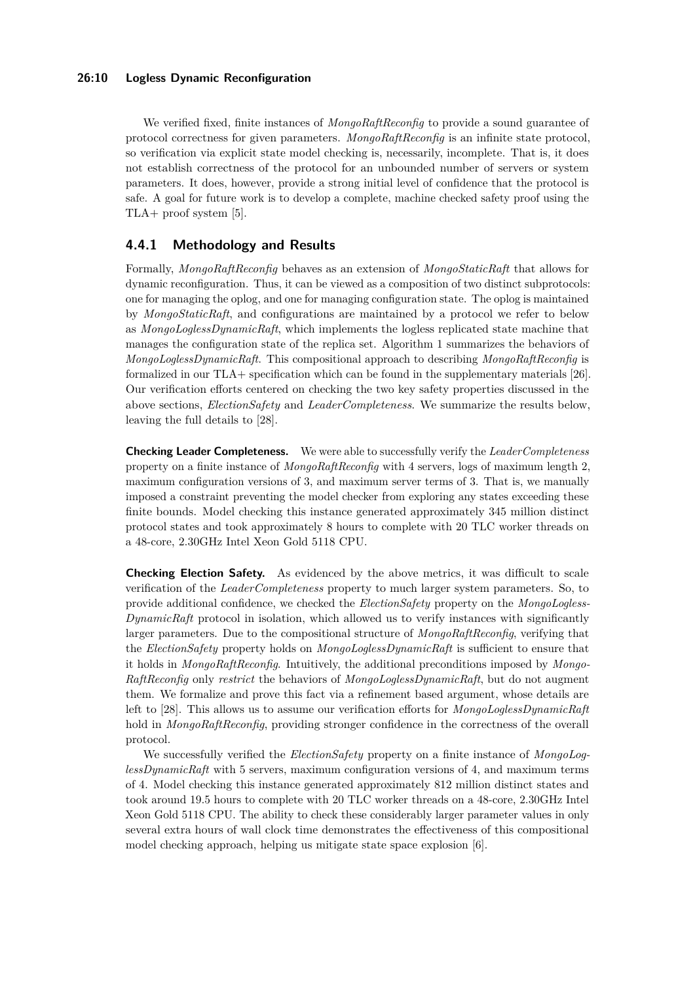We verified fixed, finite instances of *MongoRaftReconfig* to provide a sound guarantee of protocol correctness for given parameters. *MongoRaftReconfig* is an infinite state protocol, so verification via explicit state model checking is, necessarily, incomplete. That is, it does not establish correctness of the protocol for an unbounded number of servers or system parameters. It does, however, provide a strong initial level of confidence that the protocol is safe. A goal for future work is to develop a complete, machine checked safety proof using the TLA+ proof system [\[5\]](#page-14-7).

# **4.4.1 Methodology and Results**

Formally, *MongoRaftReconfig* behaves as an extension of *MongoStaticRaft* that allows for dynamic reconfiguration. Thus, it can be viewed as a composition of two distinct subprotocols: one for managing the oplog, and one for managing configuration state. The oplog is maintained by *MongoStaticRaft*, and configurations are maintained by a protocol we refer to below as *MongoLoglessDynamicRaft*, which implements the logless replicated state machine that manages the configuration state of the replica set. Algorithm [1](#page-5-0) summarizes the behaviors of *MongoLoglessDynamicRaft*. This compositional approach to describing *MongoRaftReconfig* is formalized in our TLA+ specification which can be found in the supplementary materials [\[26\]](#page-15-1). Our verification efforts centered on checking the two key safety properties discussed in the above sections, *ElectionSafety* and *LeaderCompleteness*. We summarize the results below, leaving the full details to [\[28\]](#page-15-0).

**Checking Leader Completeness.** We were able to successfully verify the *LeaderCompleteness* property on a finite instance of *MongoRaftReconfig* with 4 servers, logs of maximum length 2, maximum configuration versions of 3, and maximum server terms of 3. That is, we manually imposed a constraint preventing the model checker from exploring any states exceeding these finite bounds. Model checking this instance generated approximately 345 million distinct protocol states and took approximately 8 hours to complete with 20 TLC worker threads on a 48-core, 2.30GHz Intel Xeon Gold 5118 CPU.

**Checking Election Safety.** As evidenced by the above metrics, it was difficult to scale verification of the *LeaderCompleteness* property to much larger system parameters. So, to provide additional confidence, we checked the *ElectionSafety* property on the *MongoLogless-DynamicRaft* protocol in isolation, which allowed us to verify instances with significantly larger parameters. Due to the compositional structure of *MongoRaftReconfig*, verifying that the *ElectionSafety* property holds on *MongoLoglessDynamicRaft* is sufficient to ensure that it holds in *MongoRaftReconfig*. Intuitively, the additional preconditions imposed by *Mongo-RaftReconfig* only *restrict* the behaviors of *MongoLoglessDynamicRaft*, but do not augment them. We formalize and prove this fact via a refinement based argument, whose details are left to [\[28\]](#page-15-0). This allows us to assume our verification efforts for *MongoLoglessDynamicRaft* hold in *MongoRaftReconfig*, providing stronger confidence in the correctness of the overall protocol.

We successfully verified the *ElectionSafety* property on a finite instance of *MongoLoglessDynamicRaft* with 5 servers, maximum configuration versions of 4, and maximum terms of 4. Model checking this instance generated approximately 812 million distinct states and took around 19.5 hours to complete with 20 TLC worker threads on a 48-core, 2.30GHz Intel Xeon Gold 5118 CPU. The ability to check these considerably larger parameter values in only several extra hours of wall clock time demonstrates the effectiveness of this compositional model checking approach, helping us mitigate state space explosion [\[6\]](#page-14-8).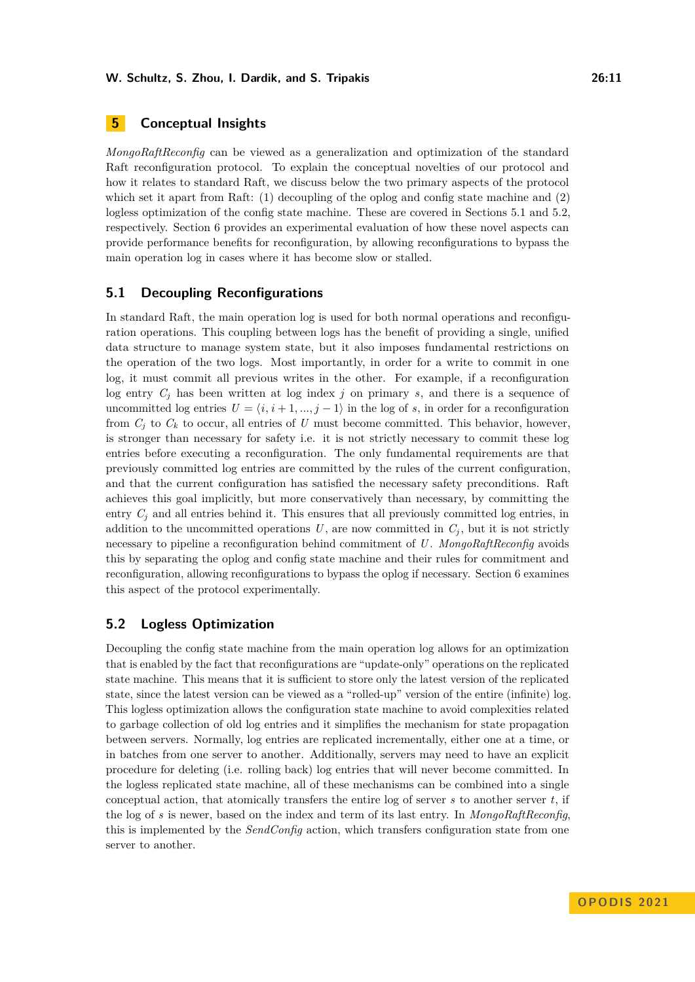# **5 Conceptual Insights**

*MongoRaftReconfig* can be viewed as a generalization and optimization of the standard Raft reconfiguration protocol. To explain the conceptual novelties of our protocol and how it relates to standard Raft, we discuss below the two primary aspects of the protocol which set it apart from Raft: (1) decoupling of the oplog and config state machine and (2) logless optimization of the config state machine. These are covered in Sections [5.1](#page-10-0) and [5.2,](#page-10-1) respectively. Section [6](#page-11-0) provides an experimental evaluation of how these novel aspects can provide performance benefits for reconfiguration, by allowing reconfigurations to bypass the main operation log in cases where it has become slow or stalled.

## <span id="page-10-0"></span>**5.1 Decoupling Reconfigurations**

In standard Raft, the main operation log is used for both normal operations and reconfiguration operations. This coupling between logs has the benefit of providing a single, unified data structure to manage system state, but it also imposes fundamental restrictions on the operation of the two logs. Most importantly, in order for a write to commit in one log, it must commit all previous writes in the other. For example, if a reconfiguration log entry  $C_i$  has been written at log index j on primary s, and there is a sequence of uncommitted log entries  $U = \langle i, i+1, ..., j-1 \rangle$  in the log of s, in order for a reconfiguration from  $C_i$  to  $C_k$  to occur, all entries of U must become committed. This behavior, however, is stronger than necessary for safety i.e. it is not strictly necessary to commit these log entries before executing a reconfiguration. The only fundamental requirements are that previously committed log entries are committed by the rules of the current configuration, and that the current configuration has satisfied the necessary safety preconditions. Raft achieves this goal implicitly, but more conservatively than necessary, by committing the entry  $C_i$  and all entries behind it. This ensures that all previously committed log entries, in addition to the uncommitted operations U, are now committed in  $C_j$ , but it is not strictly necessary to pipeline a reconfiguration behind commitment of U . *MongoRaftReconfig* avoids this by separating the oplog and config state machine and their rules for commitment and reconfiguration, allowing reconfigurations to bypass the oplog if necessary. Section [6](#page-11-0) examines this aspect of the protocol experimentally.

# <span id="page-10-1"></span>**5.2 Logless Optimization**

Decoupling the config state machine from the main operation log allows for an optimization that is enabled by the fact that reconfigurations are "update-only" operations on the replicated state machine. This means that it is sufficient to store only the latest version of the replicated state, since the latest version can be viewed as a "rolled-up" version of the entire (infinite) log. This logless optimization allows the configuration state machine to avoid complexities related to garbage collection of old log entries and it simplifies the mechanism for state propagation between servers. Normally, log entries are replicated incrementally, either one at a time, or in batches from one server to another. Additionally, servers may need to have an explicit procedure for deleting (i.e. rolling back) log entries that will never become committed. In the logless replicated state machine, all of these mechanisms can be combined into a single conceptual action, that atomically transfers the entire log of server  $s$  to another server  $t$ , if the log of s is newer, based on the index and term of its last entry. In *MongoRaftReconfig*, this is implemented by the *SendConfig* action, which transfers configuration state from one server to another.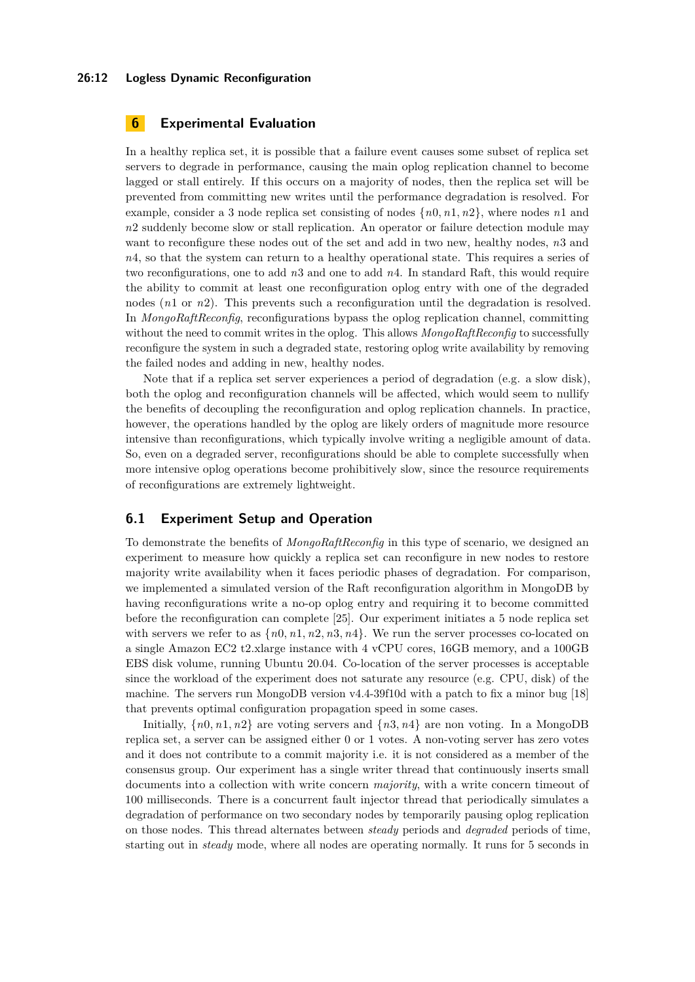#### **26:12 Logless Dynamic Reconfiguration**

# <span id="page-11-0"></span>**6 Experimental Evaluation**

In a healthy replica set, it is possible that a failure event causes some subset of replica set servers to degrade in performance, causing the main oplog replication channel to become lagged or stall entirely. If this occurs on a majority of nodes, then the replica set will be prevented from committing new writes until the performance degradation is resolved. For example, consider a 3 node replica set consisting of nodes  $\{n0, n1, n2\}$ , where nodes  $n1$  and  $n2$  suddenly become slow or stall replication. An operator or failure detection module may want to reconfigure these nodes out of the set and add in two new, healthy nodes, n3 and n4, so that the system can return to a healthy operational state. This requires a series of two reconfigurations, one to add  $n3$  and one to add  $n4$ . In standard Raft, this would require the ability to commit at least one reconfiguration oplog entry with one of the degraded nodes (n1 or n2). This prevents such a reconfiguration until the degradation is resolved. In *MongoRaftReconfig*, reconfigurations bypass the oplog replication channel, committing without the need to commit writes in the oplog. This allows *MongoRaftReconfig* to successfully reconfigure the system in such a degraded state, restoring oplog write availability by removing the failed nodes and adding in new, healthy nodes.

Note that if a replica set server experiences a period of degradation (e.g. a slow disk), both the oplog and reconfiguration channels will be affected, which would seem to nullify the benefits of decoupling the reconfiguration and oplog replication channels. In practice, however, the operations handled by the oplog are likely orders of magnitude more resource intensive than reconfigurations, which typically involve writing a negligible amount of data. So, even on a degraded server, reconfigurations should be able to complete successfully when more intensive oplog operations become prohibitively slow, since the resource requirements of reconfigurations are extremely lightweight.

## **6.1 Experiment Setup and Operation**

To demonstrate the benefits of *MongoRaftReconfig* in this type of scenario, we designed an experiment to measure how quickly a replica set can reconfigure in new nodes to restore majority write availability when it faces periodic phases of degradation. For comparison, we implemented a simulated version of the Raft reconfiguration algorithm in MongoDB by having reconfigurations write a no-op oplog entry and requiring it to become committed before the reconfiguration can complete [\[25\]](#page-15-14). Our experiment initiates a 5 node replica set with servers we refer to as  $\{n0, n1, n2, n3, n4\}$ . We run the server processes co-located on a single Amazon EC2 t2.xlarge instance with 4 vCPU cores, 16GB memory, and a 100GB EBS disk volume, running Ubuntu 20.04. Co-location of the server processes is acceptable since the workload of the experiment does not saturate any resource (e.g. CPU, disk) of the machine. The servers run MongoDB version v4.4-39f10d with a patch to fix a minor bug [\[18\]](#page-15-15) that prevents optimal configuration propagation speed in some cases.

Initially,  $\{n0, n1, n2\}$  are voting servers and  $\{n3, n4\}$  are non voting. In a MongoDB replica set, a server can be assigned either 0 or 1 votes. A non-voting server has zero votes and it does not contribute to a commit majority i.e. it is not considered as a member of the consensus group. Our experiment has a single writer thread that continuously inserts small documents into a collection with write concern *majority*, with a write concern timeout of 100 milliseconds. There is a concurrent fault injector thread that periodically simulates a degradation of performance on two secondary nodes by temporarily pausing oplog replication on those nodes. This thread alternates between *steady* periods and *degraded* periods of time, starting out in *steady* mode, where all nodes are operating normally. It runs for 5 seconds in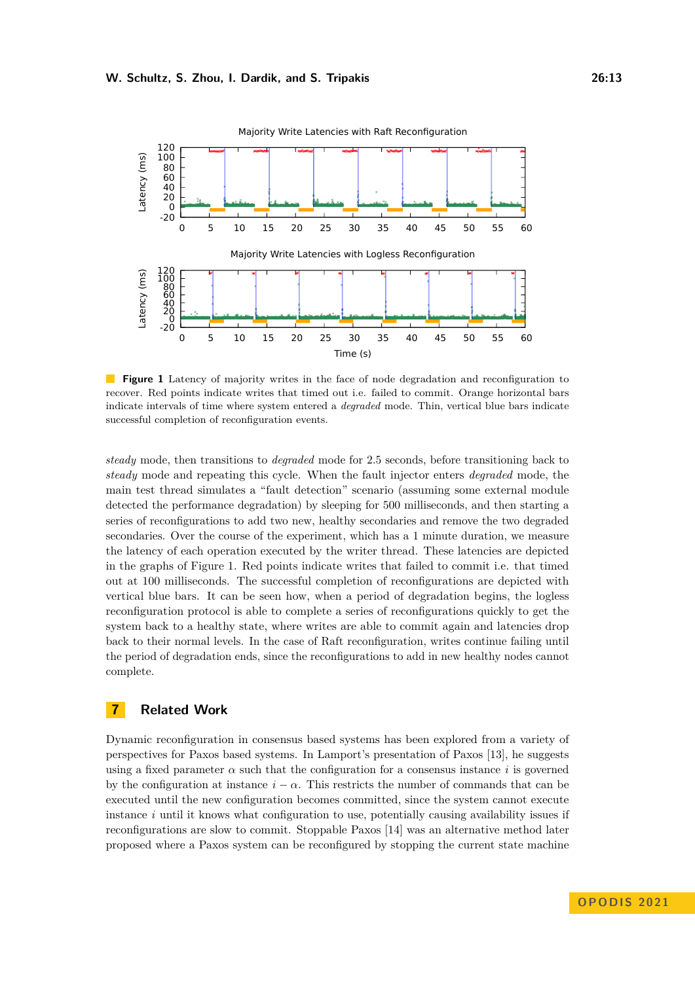<span id="page-12-0"></span>

Majority Write Latencies with Raft Recon

 $\mathbf{r}$ **Figure 1** Latency of majority writes in the face of node degradation and reconfiguration to recover. Red points indicate writes that timed out i.e. failed to commit. Orange horizontal bars indicate intervals of time where system entered a *degraded* mode. Thin, vertical blue bars indicate successful completion of reconfiguration events.

**Example 18 and 19 and 19 and 19 and 19 and 19 and 19 and 19 and 19 and 19 and 19 and 19 and 19 and 19 and 19 and 19 and 19 and 19 and 19 and 19 and 19 and 19 and 19 and 19 and 19 and 19 and 19 and 19 and 19 and 19 and 19** *steady* mode, then transitions to *degraded* mode for 2.5 seconds, before transitioning back to *steady* mode and repeating this cycle. When the fault injector enters *degraded* mode, the main test thread simulates a "fault detection" scenario (assuming some external module detected the performance degradation) by sleeping for 500 milliseconds, and then starting a series of reconfigurations to add two new, healthy secondaries and remove the two degraded secondaries. Over the course of the experiment, which has a 1 minute duration, we measure the latency of each operation executed by the writer thread. These latencies are depicted in the graphs of Figure [1.](#page-12-0) Red points indicate writes that failed to commit i.e. that timed out at 100 milliseconds. The successful completion of reconfigurations are depicted with vertical blue bars. It can be seen how, when a period of degradation begins, the logless reconfiguration protocol is able to complete a series of reconfigurations quickly to get the system back to a healthy state, where writes are able to commit again and latencies drop back to their normal levels. In the case of Raft reconfiguration, writes continue failing until the period of degradation ends, since the reconfigurations to add in new healthy nodes cannot complete.

# **7 Related Work**

Dynamic reconfiguration in consensus based systems has been explored from a variety of perspectives for Paxos based systems. In Lamport's presentation of Paxos [\[13\]](#page-14-9), he suggests using a fixed parameter  $\alpha$  such that the configuration for a consensus instance i is governed by the configuration at instance  $i - \alpha$ . This restricts the number of commands that can be executed until the new configuration becomes committed, since the system cannot execute instance  $i$  until it knows what configuration to use, potentially causing availability issues if reconfigurations are slow to commit. Stoppable Paxos [\[14\]](#page-14-5) was an alternative method later proposed where a Paxos system can be reconfigured by stopping the current state machine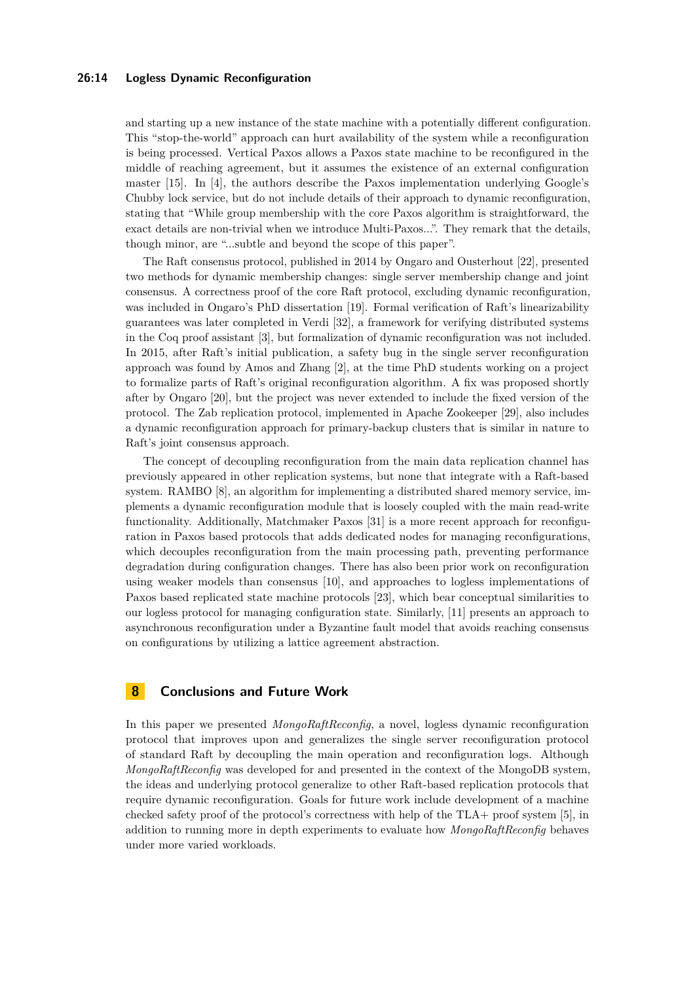#### **26:14 Logless Dynamic Reconfiguration**

and starting up a new instance of the state machine with a potentially different configuration. This "stop-the-world" approach can hurt availability of the system while a reconfiguration is being processed. Vertical Paxos allows a Paxos state machine to be reconfigured in the middle of reaching agreement, but it assumes the existence of an external configuration master [\[15\]](#page-14-6). In [\[4\]](#page-14-0), the authors describe the Paxos implementation underlying Google's Chubby lock service, but do not include details of their approach to dynamic reconfiguration, stating that "While group membership with the core Paxos algorithm is straightforward, the exact details are non-trivial when we introduce Multi-Paxos...". They remark that the details, though minor, are "...subtle and beyond the scope of this paper".

The Raft consensus protocol, published in 2014 by Ongaro and Ousterhout [\[22\]](#page-15-4), presented two methods for dynamic membership changes: single server membership change and joint consensus. A correctness proof of the core Raft protocol, excluding dynamic reconfiguration, was included in Ongaro's PhD dissertation [\[19\]](#page-15-11). Formal verification of Raft's linearizability guarantees was later completed in Verdi [\[32\]](#page-15-16), a framework for verifying distributed systems in the Coq proof assistant [\[3\]](#page-14-10), but formalization of dynamic reconfiguration was not included. In 2015, after Raft's initial publication, a safety bug in the single server reconfiguration approach was found by Amos and Zhang [\[2\]](#page-14-11), at the time PhD students working on a project to formalize parts of Raft's original reconfiguration algorithm. A fix was proposed shortly after by Ongaro [\[20\]](#page-15-5), but the project was never extended to include the fixed version of the protocol. The Zab replication protocol, implemented in Apache Zookeeper [\[29\]](#page-15-13), also includes a dynamic reconfiguration approach for primary-backup clusters that is similar in nature to Raft's joint consensus approach.

The concept of decoupling reconfiguration from the main data replication channel has previously appeared in other replication systems, but none that integrate with a Raft-based system. RAMBO [\[8\]](#page-14-12), an algorithm for implementing a distributed shared memory service, implements a dynamic reconfiguration module that is loosely coupled with the main read-write functionality. Additionally, Matchmaker Paxos [\[31\]](#page-15-17) is a more recent approach for reconfiguration in Paxos based protocols that adds dedicated nodes for managing reconfigurations, which decouples reconfiguration from the main processing path, preventing performance degradation during configuration changes. There has also been prior work on reconfiguration using weaker models than consensus [\[10\]](#page-14-13), and approaches to logless implementations of Paxos based replicated state machine protocols [\[23\]](#page-15-18), which bear conceptual similarities to our logless protocol for managing configuration state. Similarly, [\[11\]](#page-14-14) presents an approach to asynchronous reconfiguration under a Byzantine fault model that avoids reaching consensus on configurations by utilizing a lattice agreement abstraction.

## **8 Conclusions and Future Work**

In this paper we presented *MongoRaftReconfig*, a novel, logless dynamic reconfiguration protocol that improves upon and generalizes the single server reconfiguration protocol of standard Raft by decoupling the main operation and reconfiguration logs. Although *MongoRaftReconfig* was developed for and presented in the context of the MongoDB system, the ideas and underlying protocol generalize to other Raft-based replication protocols that require dynamic reconfiguration. Goals for future work include development of a machine checked safety proof of the protocol's correctness with help of the TLA+ proof system [\[5\]](#page-14-7), in addition to running more in depth experiments to evaluate how *MongoRaftReconfig* behaves under more varied workloads.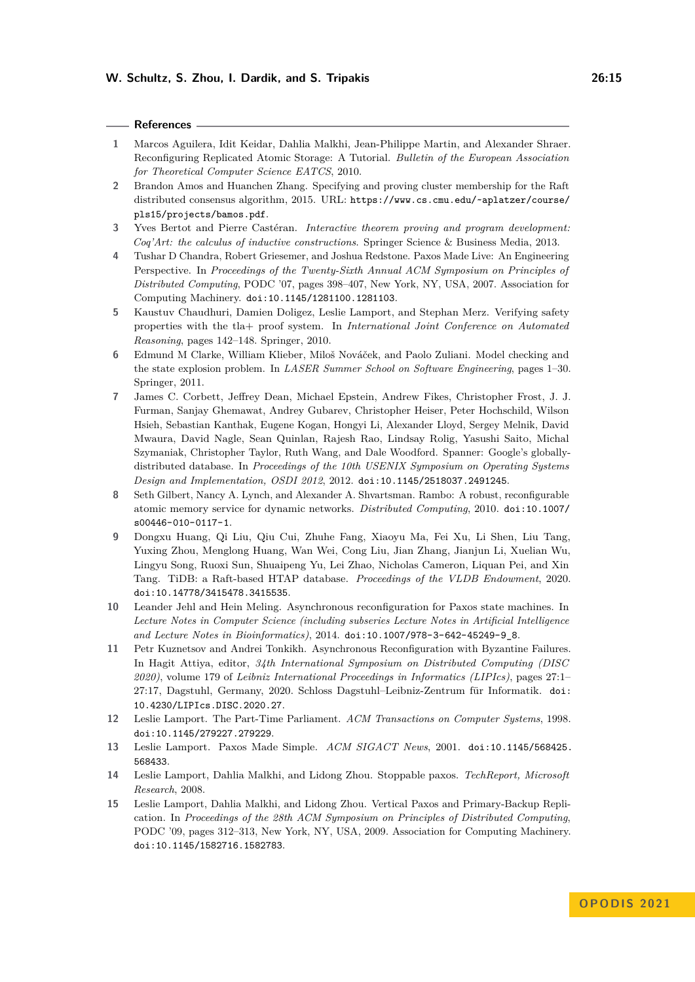#### **References**

- <span id="page-14-4"></span>**1** Marcos Aguilera, Idit Keidar, Dahlia Malkhi, Jean-Philippe Martin, and Alexander Shraer. Reconfiguring Replicated Atomic Storage: A Tutorial. *Bulletin of the European Association for Theoretical Computer Science EATCS*, 2010.
- <span id="page-14-11"></span>**2** Brandon Amos and Huanchen Zhang. Specifying and proving cluster membership for the Raft distributed consensus algorithm, 2015. URL: [https://www.cs.cmu.edu/~aplatzer/course/](https://www.cs.cmu.edu/~aplatzer/course/pls15/projects/bamos.pdf) [pls15/projects/bamos.pdf](https://www.cs.cmu.edu/~aplatzer/course/pls15/projects/bamos.pdf).
- <span id="page-14-10"></span>**3** Yves Bertot and Pierre Castéran. *Interactive theorem proving and program development: Coq'Art: the calculus of inductive constructions*. Springer Science & Business Media, 2013.
- <span id="page-14-0"></span>**4** Tushar D Chandra, Robert Griesemer, and Joshua Redstone. Paxos Made Live: An Engineering Perspective. In *Proceedings of the Twenty-Sixth Annual ACM Symposium on Principles of Distributed Computing*, PODC '07, pages 398–407, New York, NY, USA, 2007. Association for Computing Machinery. [doi:10.1145/1281100.1281103](https://doi.org/10.1145/1281100.1281103).
- <span id="page-14-7"></span>**5** Kaustuv Chaudhuri, Damien Doligez, Leslie Lamport, and Stephan Merz. Verifying safety properties with the tla+ proof system. In *International Joint Conference on Automated Reasoning*, pages 142–148. Springer, 2010.
- <span id="page-14-8"></span>**6** Edmund M Clarke, William Klieber, Miloš Nováček, and Paolo Zuliani. Model checking and the state explosion problem. In *LASER Summer School on Software Engineering*, pages 1–30. Springer, 2011.
- <span id="page-14-1"></span>**7** James C. Corbett, Jeffrey Dean, Michael Epstein, Andrew Fikes, Christopher Frost, J. J. Furman, Sanjay Ghemawat, Andrey Gubarev, Christopher Heiser, Peter Hochschild, Wilson Hsieh, Sebastian Kanthak, Eugene Kogan, Hongyi Li, Alexander Lloyd, Sergey Melnik, David Mwaura, David Nagle, Sean Quinlan, Rajesh Rao, Lindsay Rolig, Yasushi Saito, Michal Szymaniak, Christopher Taylor, Ruth Wang, and Dale Woodford. Spanner: Google's globallydistributed database. In *Proceedings of the 10th USENIX Symposium on Operating Systems Design and Implementation, OSDI 2012*, 2012. [doi:10.1145/2518037.2491245](https://doi.org/10.1145/2518037.2491245).
- <span id="page-14-12"></span>**8** Seth Gilbert, Nancy A. Lynch, and Alexander A. Shvartsman. Rambo: A robust, reconfigurable atomic memory service for dynamic networks. *Distributed Computing*, 2010. [doi:10.1007/](https://doi.org/10.1007/s00446-010-0117-1) [s00446-010-0117-1](https://doi.org/10.1007/s00446-010-0117-1).
- <span id="page-14-2"></span>**9** Dongxu Huang, Qi Liu, Qiu Cui, Zhuhe Fang, Xiaoyu Ma, Fei Xu, Li Shen, Liu Tang, Yuxing Zhou, Menglong Huang, Wan Wei, Cong Liu, Jian Zhang, Jianjun Li, Xuelian Wu, Lingyu Song, Ruoxi Sun, Shuaipeng Yu, Lei Zhao, Nicholas Cameron, Liquan Pei, and Xin Tang. TiDB: a Raft-based HTAP database. *Proceedings of the VLDB Endowment*, 2020. [doi:10.14778/3415478.3415535](https://doi.org/10.14778/3415478.3415535).
- <span id="page-14-13"></span>**10** Leander Jehl and Hein Meling. Asynchronous reconfiguration for Paxos state machines. In *Lecture Notes in Computer Science (including subseries Lecture Notes in Artificial Intelligence and Lecture Notes in Bioinformatics)*, 2014. [doi:10.1007/978-3-642-45249-9\\_8](https://doi.org/10.1007/978-3-642-45249-9_8).
- <span id="page-14-14"></span>**11** Petr Kuznetsov and Andrei Tonkikh. Asynchronous Reconfiguration with Byzantine Failures. In Hagit Attiya, editor, *34th International Symposium on Distributed Computing (DISC 2020)*, volume 179 of *Leibniz International Proceedings in Informatics (LIPIcs)*, pages 27:1– 27:17, Dagstuhl, Germany, 2020. Schloss Dagstuhl–Leibniz-Zentrum für Informatik. [doi:](https://doi.org/10.4230/LIPIcs.DISC.2020.27) [10.4230/LIPIcs.DISC.2020.27](https://doi.org/10.4230/LIPIcs.DISC.2020.27).
- <span id="page-14-3"></span>**12** Leslie Lamport. The Part-Time Parliament. *ACM Transactions on Computer Systems*, 1998. [doi:10.1145/279227.279229](https://doi.org/10.1145/279227.279229).
- <span id="page-14-9"></span>**13** Leslie Lamport. Paxos Made Simple. *ACM SIGACT News*, 2001. [doi:10.1145/568425.](https://doi.org/10.1145/568425.568433) [568433](https://doi.org/10.1145/568425.568433).
- <span id="page-14-5"></span>**14** Leslie Lamport, Dahlia Malkhi, and Lidong Zhou. Stoppable paxos. *TechReport, Microsoft Research*, 2008.
- <span id="page-14-6"></span>**15** Leslie Lamport, Dahlia Malkhi, and Lidong Zhou. Vertical Paxos and Primary-Backup Replication. In *Proceedings of the 28th ACM Symposium on Principles of Distributed Computing*, PODC '09, pages 312–313, New York, NY, USA, 2009. Association for Computing Machinery. [doi:10.1145/1582716.1582783](https://doi.org/10.1145/1582716.1582783).